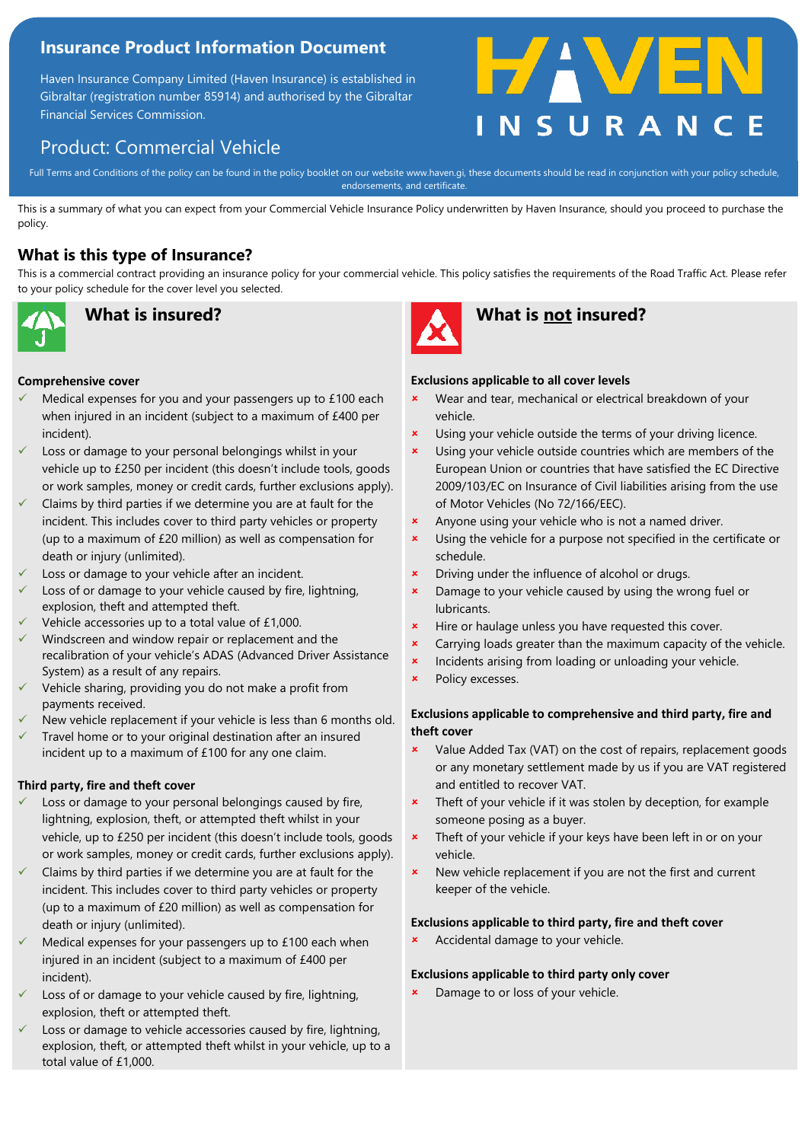## **Insurance Product Information Document**

Haven Insurance Company Limited (Haven Insurance) is established in Gibraltar (registration number 85914) and authorised by the Gibraltar Financial Services Commission.

# Product: Commercial Vehicle

Full Terms and Conditions of the policy can be found in the policy booklet on our website www.haven.gi, these documents should be read in conjunction with your policy schedule,<br>endorsements, and certificate endorsements, and certificate.

This is a summary of what you can expect from your Commercial Vehicle Insurance Policy underwritten by Haven Insurance, should you proceed to purchase the policy.

## **What is this type of Insurance?**

This is a commercial contract providing an insurance policy for your commercial vehicle. This policy satisfies the requirements of the Road Traffic Act. Please refer to your policy schedule for the cover level you selected.



#### **Comprehensive cover**

- Medical expenses for you and your passengers up to £100 each when injured in an incident (subject to a maximum of £400 per incident).
- Loss or damage to your personal belongings whilst in your vehicle up to £250 per incident (this doesn't include tools, goods or work samples, money or credit cards, further exclusions apply).
- Claims by third parties if we determine you are at fault for the incident. This includes cover to third party vehicles or property (up to a maximum of £20 million) as well as compensation for death or injury (unlimited).
- Loss or damage to your vehicle after an incident.
- Loss of or damage to your vehicle caused by fire, lightning, explosion, theft and attempted theft.
- Vehicle accessories up to a total value of £1,000.
- Windscreen and window repair or replacement and the recalibration of your vehicle's ADAS (Advanced Driver Assistance System) as a result of any repairs.
- Vehicle sharing, providing you do not make a profit from payments received.
- New vehicle replacement if your vehicle is less than 6 months old.
- Travel home or to your original destination after an insured incident up to a maximum of £100 for any one claim.

### **Third party, fire and theft cover**

- Loss or damage to your personal belongings caused by fire, lightning, explosion, theft, or attempted theft whilst in your vehicle, up to £250 per incident (this doesn't include tools, goods or work samples, money or credit cards, further exclusions apply).
- Claims by third parties if we determine you are at fault for the incident. This includes cover to third party vehicles or property (up to a maximum of £20 million) as well as compensation for death or injury (unlimited).
- Medical expenses for your passengers up to £100 each when injured in an incident (subject to a maximum of £400 per incident).
- Loss of or damage to your vehicle caused by fire, lightning, explosion, theft or attempted theft.
- Loss or damage to vehicle accessories caused by fire, lightning, explosion, theft, or attempted theft whilst in your vehicle, up to a total value of £1,000.



## **What is insured? What is not insured?**

#### **Exclusions applicable to all cover levels**

 Wear and tear, mechanical or electrical breakdown of your vehicle.

FAVE

- **x** Using your vehicle outside the terms of your driving licence.
- **x** Using your vehicle outside countries which are members of the European Union or countries that have satisfied the EC Directive 2009/103/EC on Insurance of Civil liabilities arising from the use of Motor Vehicles (No 72/166/EEC).
- **\*** Anyone using your vehicle who is not a named driver.
- **x** Using the vehicle for a purpose not specified in the certificate or schedule.
- Driving under the influence of alcohol or drugs.
- Damage to your vehicle caused by using the wrong fuel or lubricants.
- **\*** Hire or haulage unless you have requested this cover.
- Carrying loads greater than the maximum capacity of the vehicle.
- **x** Incidents arising from loading or unloading your vehicle.
- **\*** Policy excesses.

### **Exclusions applicable to comprehensive and third party, fire and theft cover**

- Value Added Tax (VAT) on the cost of repairs, replacement goods or any monetary settlement made by us if you are VAT registered and entitled to recover VAT.
- **\*** Theft of your vehicle if it was stolen by deception, for example someone posing as a buyer.
- **\*** Theft of your vehicle if your keys have been left in or on your vehicle.
- New vehicle replacement if you are not the first and current keeper of the vehicle.

#### **Exclusions applicable to third party, fire and theft cover**

**\*** Accidental damage to your vehicle.

#### **Exclusions applicable to third party only cover**

**x** Damage to or loss of your vehicle.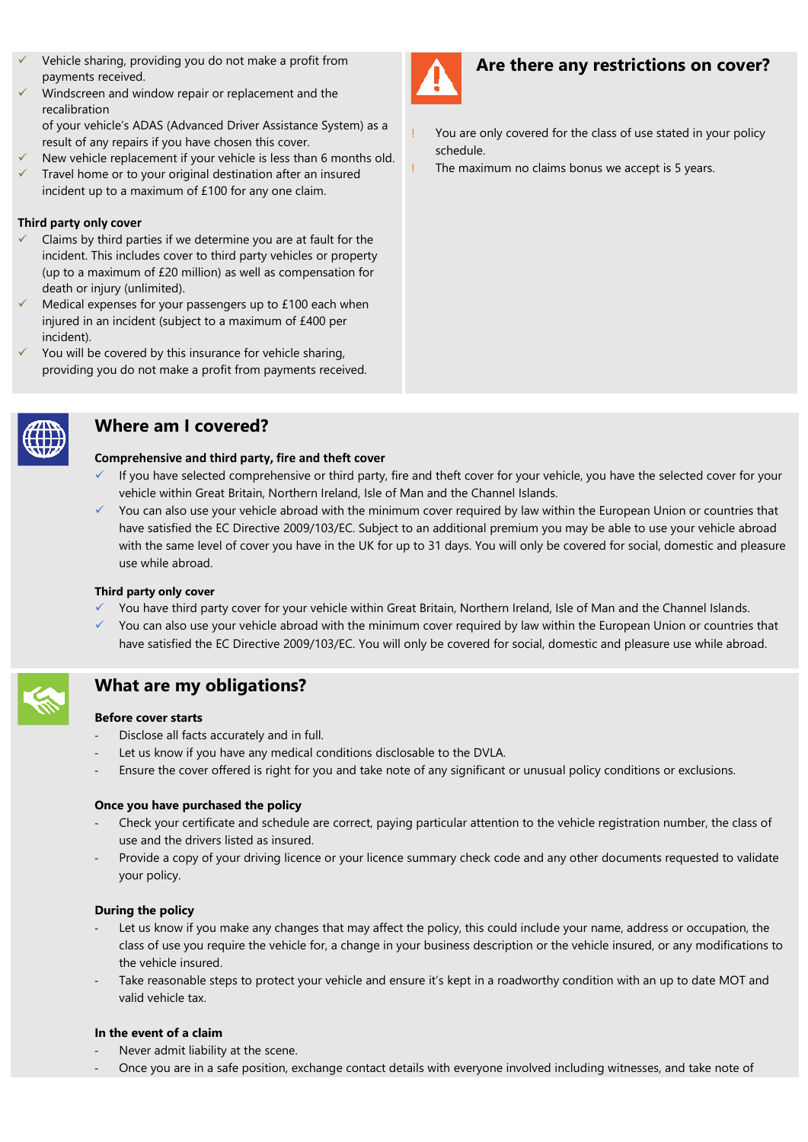- Vehicle sharing, providing you do not make a profit from payments received.
- Windscreen and window repair or replacement and the recalibration
	- of your vehicle's ADAS (Advanced Driver Assistance System) as a result of any repairs if you have chosen this cover.
- New vehicle replacement if your vehicle is less than 6 months old.
- Travel home or to your original destination after an insured incident up to a maximum of £100 for any one claim.

### **Third party only cover**

- Claims by third parties if we determine you are at fault for the incident. This includes cover to third party vehicles or property (up to a maximum of £20 million) as well as compensation for death or injury (unlimited).
- Medical expenses for your passengers up to £100 each when injured in an incident (subject to a maximum of £400 per incident).
- You will be covered by this insurance for vehicle sharing, providing you do not make a profit from payments received.



## **Where am I covered?**

#### **Comprehensive and third party, fire and theft cover**

- If you have selected comprehensive or third party, fire and theft cover for your vehicle, you have the selected cover for your vehicle within Great Britain, Northern Ireland, Isle of Man and the Channel Islands.
- ✓ You can also use your vehicle abroad with the minimum cover required by law within the European Union or countries that have satisfied the EC Directive 2009/103/EC. Subject to an additional premium you may be able to use your vehicle abroad with the same level of cover you have in the UK for up to 31 days. You will only be covered for social, domestic and pleasure use while abroad.

### **Third party only cover**

- You have third party cover for your vehicle within Great Britain, Northern Ireland, Isle of Man and the Channel Islands.
- ✓ You can also use your vehicle abroad with the minimum cover required by law within the European Union or countries that have satisfied the EC Directive 2009/103/EC. You will only be covered for social, domestic and pleasure use while abroad.



## **What are my obligations?**

#### **Before cover starts**

- Disclose all facts accurately and in full.
- Let us know if you have any medical conditions disclosable to the DVLA.
- Ensure the cover offered is right for you and take note of any significant or unusual policy conditions or exclusions.

### **Once you have purchased the policy**

- Check your certificate and schedule are correct, paying particular attention to the vehicle registration number, the class of use and the drivers listed as insured.
- Provide a copy of your driving licence or your licence summary check code and any other documents requested to validate your policy.

### **During the policy**

- Let us know if you make any changes that may affect the policy, this could include your name, address or occupation, the class of use you require the vehicle for, a change in your business description or the vehicle insured, or any modifications to the vehicle insured.
- Take reasonable steps to protect your vehicle and ensure it's kept in a roadworthy condition with an up to date MOT and valid vehicle tax.

### **In the event of a claim**

- Never admit liability at the scene.
- Once you are in a safe position, exchange contact details with everyone involved including witnesses, and take note of



## **Are there any restrictions on cover?**

- You are only covered for the class of use stated in your policy schedule.
- The maximum no claims bonus we accept is 5 years.